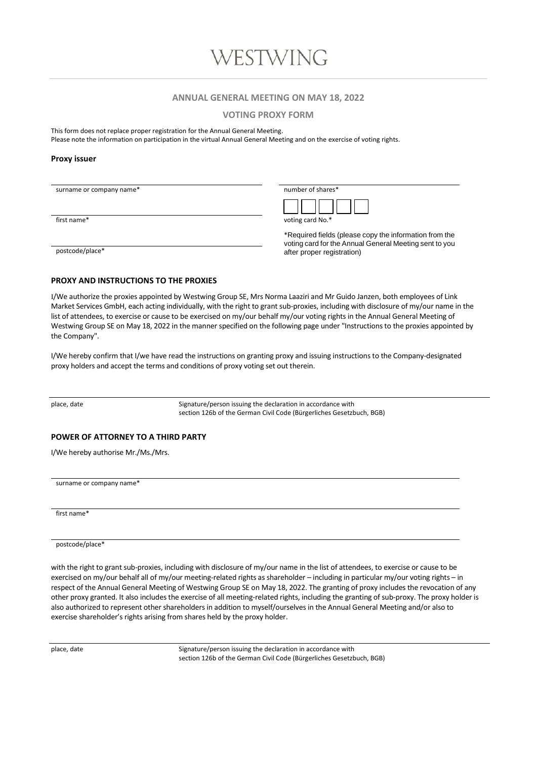### **ANNUAL GENERAL MEETING ON MAY 18, 2022**

**VOTING PROXY FORM**

This form does not replace proper registration for the Annual General Meeting.

Please note the information on participation in the virtual Annual General Meeting and on the exercise of voting rights.

#### **Proxy issuer**

surname or company name\*

| number of shares* |  |  |  |  |  |  |  |
|-------------------|--|--|--|--|--|--|--|
|                   |  |  |  |  |  |  |  |

First name\* voting card No.\*

\*Required fields (please copy the information from the voting card for the Annual General Meeting sent to you postcode/place\* after proper registration)

#### **PROXY AND INSTRUCTIONS TO THE PROXIES**

I/We authorize the proxies appointed by Westwing Group SE, Mrs Norma Laaziri and Mr Guido Janzen, both employees of Link Market Services GmbH, each acting individually, with the right to grant sub-proxies, including with disclosure of my/our name in the list of attendees, to exercise or cause to be exercised on my/our behalf my/our voting rights in the Annual General Meeting of Westwing Group SE on May 18, 2022 in the manner specified on the following page under "Instructions to the proxies appointed by the Company".

I/We hereby confirm that I/we have read the instructions on granting proxy and issuing instructions to the Company-designated proxy holders and accept the terms and conditions of proxy voting set out therein.

place, date  $S$ ignature/person issuing the declaration in accordance with section 126b of the German Civil Code (Bürgerliches Gesetzbuch, BGB)

#### **POWER OF ATTORNEY TO A THIRD PARTY**

I/We hereby authorise Mr./Ms./Mrs.

surname or company name\*

first name\*

postcode/place\*

with the right to grant sub-proxies, including with disclosure of my/our name in the list of attendees, to exercise or cause to be exercised on my/our behalf all of my/our meeting-related rights as shareholder – including in particular my/our voting rights – in respect of the Annual General Meeting of Westwing Group SE on May 18, 2022. The granting of proxy includes the revocation of any other proxy granted. It also includes the exercise of all meeting-related rights, including the granting of sub-proxy. The proxy holder is also authorized to represent other shareholders in addition to myself/ourselves in the Annual General Meeting and/or also to exercise shareholder's rights arising from shares held by the proxy holder.

place, date  $S$ ignature/person issuing the declaration in accordance with section 126b of the German Civil Code (Bürgerliches Gesetzbuch, BGB)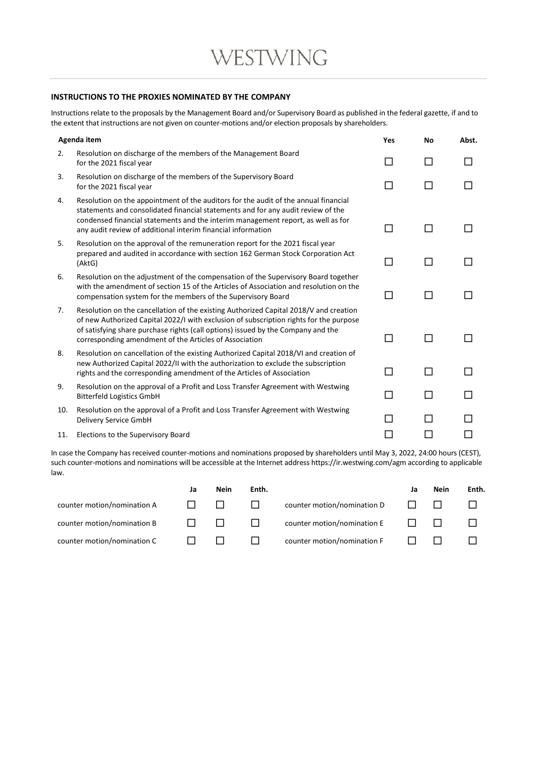# **INSTRUCTIONS TO THE PROXIES NOMINATED BY THE COMPANY**

Instructions relate to the proposals by the Management Board and/or Supervisory Board as published in the federal gazette, if and to the extent that instructions are not given on counter-motions and/or election proposals by shareholders.

| Agenda item |                                                                                                                                                                                                                                                                                                                               | Yes | No     | Abst. |
|-------------|-------------------------------------------------------------------------------------------------------------------------------------------------------------------------------------------------------------------------------------------------------------------------------------------------------------------------------|-----|--------|-------|
| 2.          | Resolution on discharge of the members of the Management Board<br>for the 2021 fiscal year                                                                                                                                                                                                                                    | П   | П      |       |
| 3.          | Resolution on discharge of the members of the Supervisory Board<br>for the 2021 fiscal year                                                                                                                                                                                                                                   | П   | П      |       |
| 4.          | Resolution on the appointment of the auditors for the audit of the annual financial<br>statements and consolidated financial statements and for any audit review of the<br>condensed financial statements and the interim management report, as well as for<br>any audit review of additional interim financial information   |     |        |       |
| 5.          | Resolution on the approval of the remuneration report for the 2021 fiscal year<br>prepared and audited in accordance with section 162 German Stock Corporation Act<br>(AktG)                                                                                                                                                  | П   | П      |       |
| 6.          | Resolution on the adjustment of the compensation of the Supervisory Board together<br>with the amendment of section 15 of the Articles of Association and resolution on the<br>compensation system for the members of the Supervisory Board                                                                                   | П   | П      |       |
| 7.          | Resolution on the cancellation of the existing Authorized Capital 2018/V and creation<br>of new Authorized Capital 2022/I with exclusion of subscription rights for the purpose<br>of satisfying share purchase rights (call options) issued by the Company and the<br>corresponding amendment of the Articles of Association | П   |        |       |
| 8.          | Resolution on cancellation of the existing Authorized Capital 2018/VI and creation of<br>new Authorized Capital 2022/II with the authorization to exclude the subscription<br>rights and the corresponding amendment of the Articles of Association                                                                           | П   | $\Box$ |       |
| 9.          | Resolution on the approval of a Profit and Loss Transfer Agreement with Westwing<br><b>Bitterfeld Logistics GmbH</b>                                                                                                                                                                                                          | П   | П      |       |
| 10.         | Resolution on the approval of a Profit and Loss Transfer Agreement with Westwing<br>Delivery Service GmbH                                                                                                                                                                                                                     |     |        |       |
| 11.         | Elections to the Supervisory Board                                                                                                                                                                                                                                                                                            |     |        |       |

In case the Company has received counter-motions and nominations proposed by shareholders until May 3, 2022, 24:00 hours (CEST), such counter-motions and nominations will be accessible at the Internet address https://ir.westwing.com/agm according to applicable law.

|                             | <b>Nein</b> | Enth. |                             | ιа | Nein | Enth. |
|-----------------------------|-------------|-------|-----------------------------|----|------|-------|
| counter motion/nomination A |             |       | counter motion/nomination D |    |      |       |
| counter motion/nomination B |             |       | counter motion/nomination E |    |      |       |
| counter motion/nomination C |             |       | counter motion/nomination F |    |      |       |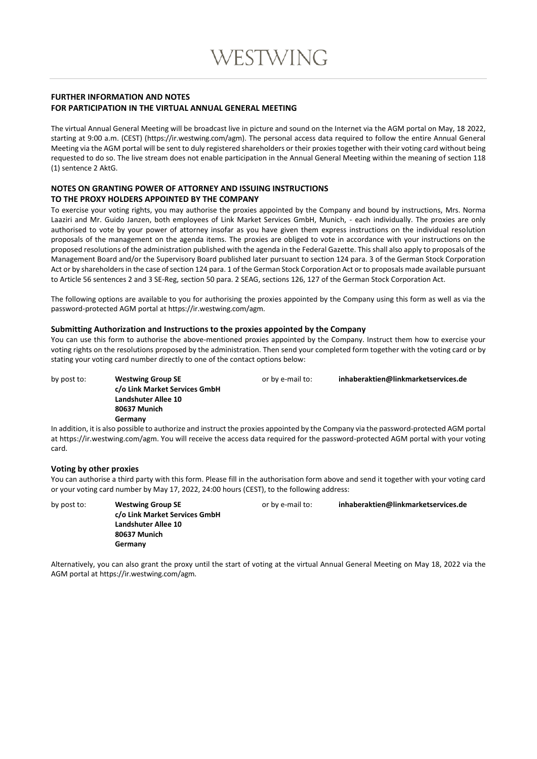## **FURTHER INFORMATION AND NOTES FOR PARTICIPATION IN THE VIRTUAL ANNUAL GENERAL MEETING**

The virtual Annual General Meeting will be broadcast live in picture and sound on the Internet via the AGM portal on May, 18 2022, starting at 9:00 a.m. (CEST) (https://ir.westwing.com/agm). The personal access data required to follow the entire Annual General Meeting via the AGM portal will be sent to duly registered shareholders or their proxies together with their voting card without being requested to do so. The live stream does not enable participation in the Annual General Meeting within the meaning of section 118 (1) sentence 2 AktG.

## **NOTES ON GRANTING POWER OF ATTORNEY AND ISSUING INSTRUCTIONS TO THE PROXY HOLDERS APPOINTED BY THE COMPANY**

To exercise your voting rights, you may authorise the proxies appointed by the Company and bound by instructions, Mrs. Norma Laaziri and Mr. Guido Janzen, both employees of Link Market Services GmbH, Munich, - each individually. The proxies are only authorised to vote by your power of attorney insofar as you have given them express instructions on the individual resolution proposals of the management on the agenda items. The proxies are obliged to vote in accordance with your instructions on the proposed resolutions of the administration published with the agenda in the Federal Gazette. This shall also apply to proposals of the Management Board and/or the Supervisory Board published later pursuant to section 124 para. 3 of the German Stock Corporation Act or by shareholders in the case of section 124 para. 1 of the German Stock Corporation Act or to proposals made available pursuant to Article 56 sentences 2 and 3 SE-Reg, section 50 para. 2 SEAG, sections 126, 127 of the German Stock Corporation Act.

The following options are available to you for authorising the proxies appointed by the Company using this form as well as via the password-protected AGM portal at https://ir.westwing.com/agm.

## **Submitting Authorization and Instructions to the proxies appointed by the Company**

You can use this form to authorise the above-mentioned proxies appointed by the Company. Instruct them how to exercise your voting rights on the resolutions proposed by the administration. Then send your completed form together with the voting card or by stating your voting card number directly to one of the contact options below:

by post to: **Westwing Group SE** or by e-mail to: **inhaberaktien@linkmarketservices.de c/o Link Market Services GmbH Landshuter Allee 10 80637 Munich Germany**

In addition, it is also possible to authorize and instruct the proxies appointed by the Company via the password-protected AGM portal at https://ir.westwing.com/agm. You will receive the access data required for the password-protected AGM portal with your voting card.

## **Voting by other proxies**

You can authorise a third party with this form. Please fill in the authorisation form above and send it together with your voting card or your voting card number by May 17, 2022, 24:00 hours (CEST), to the following address:

by post to: **Westwing Group SE** or by e-mail to: **inhaberaktien@linkmarketservices.de c/o Link Market Services GmbH Landshuter Allee 10 80637 Munich Germany**

Alternatively, you can also grant the proxy until the start of voting at the virtual Annual General Meeting on May 18, 2022 via the AGM portal at https://ir.westwing.com/agm.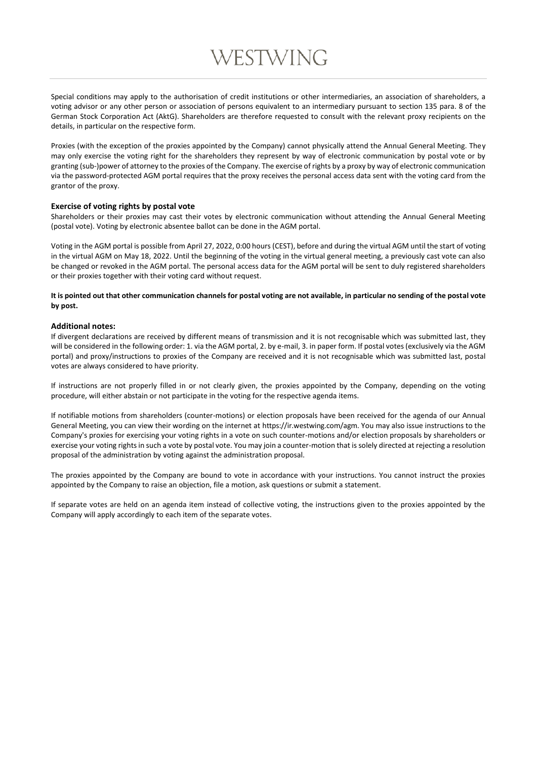# WESTWING

Special conditions may apply to the authorisation of credit institutions or other intermediaries, an association of shareholders, a voting advisor or any other person or association of persons equivalent to an intermediary pursuant to section 135 para. 8 of the German Stock Corporation Act (AktG). Shareholders are therefore requested to consult with the relevant proxy recipients on the details, in particular on the respective form.

Proxies (with the exception of the proxies appointed by the Company) cannot physically attend the Annual General Meeting. They may only exercise the voting right for the shareholders they represent by way of electronic communication by postal vote or by granting (sub-)power of attorney to the proxies of the Company. The exercise of rights by a proxy by way of electronic communication via the password-protected AGM portal requires that the proxy receives the personal access data sent with the voting card from the grantor of the proxy.

#### **Exercise of voting rights by postal vote**

Shareholders or their proxies may cast their votes by electronic communication without attending the Annual General Meeting (postal vote). Voting by electronic absentee ballot can be done in the AGM portal.

Voting in the AGM portal is possible from April 27, 2022, 0:00 hours (CEST), before and during the virtual AGM until the start of voting in the virtual AGM on May 18, 2022. Until the beginning of the voting in the virtual general meeting, a previously cast vote can also be changed or revoked in the AGM portal. The personal access data for the AGM portal will be sent to duly registered shareholders or their proxies together with their voting card without request.

### **It is pointed out that other communication channels for postal voting are not available, in particular no sending of the postal vote by post.**

#### **Additional notes:**

If divergent declarations are received by different means of transmission and it is not recognisable which was submitted last, they will be considered in the following order: 1. via the AGM portal, 2. by e-mail, 3. in paper form. If postal votes (exclusively via the AGM portal) and proxy/instructions to proxies of the Company are received and it is not recognisable which was submitted last, postal votes are always considered to have priority.

If instructions are not properly filled in or not clearly given, the proxies appointed by the Company, depending on the voting procedure, will either abstain or not participate in the voting for the respective agenda items.

If notifiable motions from shareholders (counter-motions) or election proposals have been received for the agenda of our Annual General Meeting, you can view their wording on the internet at https://ir.westwing.com/agm. You may also issue instructions to the Company's proxies for exercising your voting rights in a vote on such counter-motions and/or election proposals by shareholders or exercise your voting rights in such a vote by postal vote. You may join a counter-motion that is solely directed at rejecting a resolution proposal of the administration by voting against the administration proposal.

The proxies appointed by the Company are bound to vote in accordance with your instructions. You cannot instruct the proxies appointed by the Company to raise an objection, file a motion, ask questions or submit a statement.

If separate votes are held on an agenda item instead of collective voting, the instructions given to the proxies appointed by the Company will apply accordingly to each item of the separate votes.